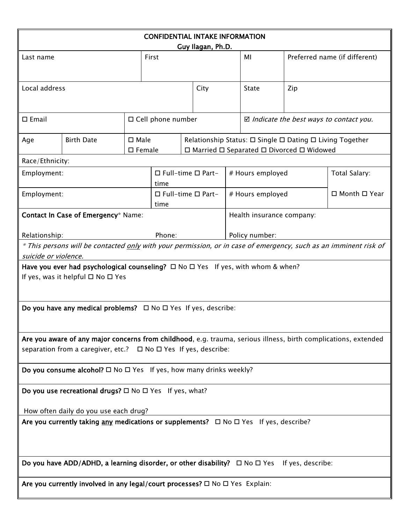| <b>CONFIDENTIAL INTAKE INFORMATION</b>                                                                                                    |                   |                |                                       |  |                                                          |                                                    |                  |     |                               |
|-------------------------------------------------------------------------------------------------------------------------------------------|-------------------|----------------|---------------------------------------|--|----------------------------------------------------------|----------------------------------------------------|------------------|-----|-------------------------------|
| Last name                                                                                                                                 |                   |                | Guy Ilagan, Ph.D.<br>First            |  |                                                          |                                                    | MI               |     | Preferred name (if different) |
|                                                                                                                                           |                   |                |                                       |  |                                                          |                                                    |                  |     |                               |
| Local address                                                                                                                             |                   |                |                                       |  | City                                                     |                                                    | <b>State</b>     | Zip |                               |
|                                                                                                                                           |                   |                |                                       |  |                                                          |                                                    |                  |     |                               |
| $\square$ Email                                                                                                                           |                   |                | □ Cell phone number                   |  |                                                          | $\boxtimes$ Indicate the best ways to contact you. |                  |     |                               |
| Age                                                                                                                                       | <b>Birth Date</b> | $\square$ Male |                                       |  | Relationship Status: □ Single □ Dating □ Living Together |                                                    |                  |     |                               |
| $\Box$ Married $\Box$ Separated $\Box$ Divorced $\Box$ Widowed<br>$\square$ Female<br>Race/Ethnicity:                                     |                   |                |                                       |  |                                                          |                                                    |                  |     |                               |
| Employment:                                                                                                                               |                   |                | $\Box$ Full-time $\Box$ Part-         |  |                                                          | # Hours employed                                   |                  |     | Total Salary:                 |
| Employment:                                                                                                                               |                   |                | time<br>$\Box$ Full-time $\Box$ Part- |  |                                                          |                                                    | # Hours employed |     | □ Month □ Year                |
| Contact In Case of Emergency* Name:                                                                                                       |                   |                | time                                  |  |                                                          | Health insurance company:                          |                  |     |                               |
| Relationship:                                                                                                                             |                   |                | Phone:                                |  |                                                          | Policy number:                                     |                  |     |                               |
| * This persons will be contacted only with your permission, or in case of emergency, such as an imminent risk of                          |                   |                |                                       |  |                                                          |                                                    |                  |     |                               |
| suicide or violence.                                                                                                                      |                   |                |                                       |  |                                                          |                                                    |                  |     |                               |
| Have you ever had psychological counseling? $\Box$ No $\Box$ Yes If yes, with whom & when?<br>If yes, was it helpful $\Box$ No $\Box$ Yes |                   |                |                                       |  |                                                          |                                                    |                  |     |                               |
| Do you have any medical problems? $\Box$ No $\Box$ Yes If yes, describe:                                                                  |                   |                |                                       |  |                                                          |                                                    |                  |     |                               |
| Are you aware of any major concerns from childhood, e.g. trauma, serious illness, birth complications, extended                           |                   |                |                                       |  |                                                          |                                                    |                  |     |                               |
| separation from a caregiver, etc.?<br>□ No □ Yes If yes, describe:                                                                        |                   |                |                                       |  |                                                          |                                                    |                  |     |                               |
| Do you consume alcohol? $\Box$ No $\Box$ Yes If yes, how many drinks weekly?                                                              |                   |                |                                       |  |                                                          |                                                    |                  |     |                               |
| Do you use recreational drugs? $\square$ No $\square$ Yes If yes, what?                                                                   |                   |                |                                       |  |                                                          |                                                    |                  |     |                               |
| How often daily do you use each drug?                                                                                                     |                   |                |                                       |  |                                                          |                                                    |                  |     |                               |
| Are you currently taking $\frac{any}{any}$ medications or supplements? $\Box$ No $\Box$ Yes If yes, describe?                             |                   |                |                                       |  |                                                          |                                                    |                  |     |                               |
| Do you have ADD/ADHD, a learning disorder, or other disability? $\Box$ No $\Box$ Yes If yes, describe:                                    |                   |                |                                       |  |                                                          |                                                    |                  |     |                               |
| Are you currently involved in any legal/court processes? $\square$ No $\square$ Yes Explain:                                              |                   |                |                                       |  |                                                          |                                                    |                  |     |                               |